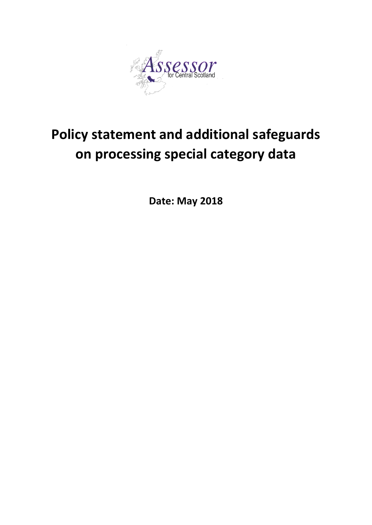

# **Policy statement and additional safeguards on processing special category data**

**Date: May 2018**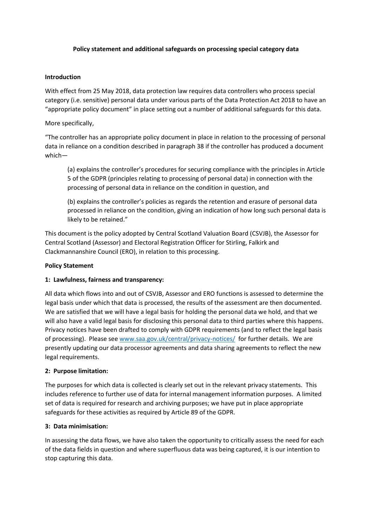## **Policy statement and additional safeguards on processing special category data**

#### **Introduction**

With effect from 25 May 2018, data protection law requires data controllers who process special category (i.e. sensitive) personal data under various parts of the Data Protection Act 2018 to have an "appropriate policy document" in place setting out a number of additional safeguards for this data.

## More specifically,

"The controller has an appropriate policy document in place in relation to the processing of personal data in reliance on a condition described in paragraph 38 if the controller has produced a document which—

(a) explains the controller's procedures for securing compliance with the principles in Article 5 of the GDPR (principles relating to processing of personal data) in connection with the processing of personal data in reliance on the condition in question, and

(b) explains the controller's policies as regards the retention and erasure of personal data processed in reliance on the condition, giving an indication of how long such personal data is likely to be retained."

This document is the policy adopted by Central Scotland Valuation Board (CSVJB), the Assessor for Central Scotland (Assessor) and Electoral Registration Officer for Stirling, Falkirk and Clackmannanshire Council (ERO), in relation to this processing.

#### **Policy Statement**

# **1: Lawfulness, fairness and transparency:**

All data which flows into and out of CSVJB, Assessor and ERO functions is assessed to determine the legal basis under which that data is processed, the results of the assessment are then documented. We are satisfied that we will have a legal basis for holding the personal data we hold, and that we will also have a valid legal basis for disclosing this personal data to third parties where this happens. Privacy notices have been drafted to comply with GDPR requirements (and to reflect the legal basis of processing). Please see [www.saa.gov.uk/central/privacy-notices/](http://www.saa.gov.uk/central/privacy-notices/) for further details. We are presently updating our data processor agreements and data sharing agreements to reflect the new legal requirements.

#### **2: Purpose limitation:**

The purposes for which data is collected is clearly set out in the relevant privacy statements. This includes reference to further use of data for internal management information purposes. A limited set of data is required for research and archiving purposes; we have put in place appropriate safeguards for these activities as required by Article 89 of the GDPR.

#### **3: Data minimisation:**

In assessing the data flows, we have also taken the opportunity to critically assess the need for each of the data fields in question and where superfluous data was being captured, it is our intention to stop capturing this data.